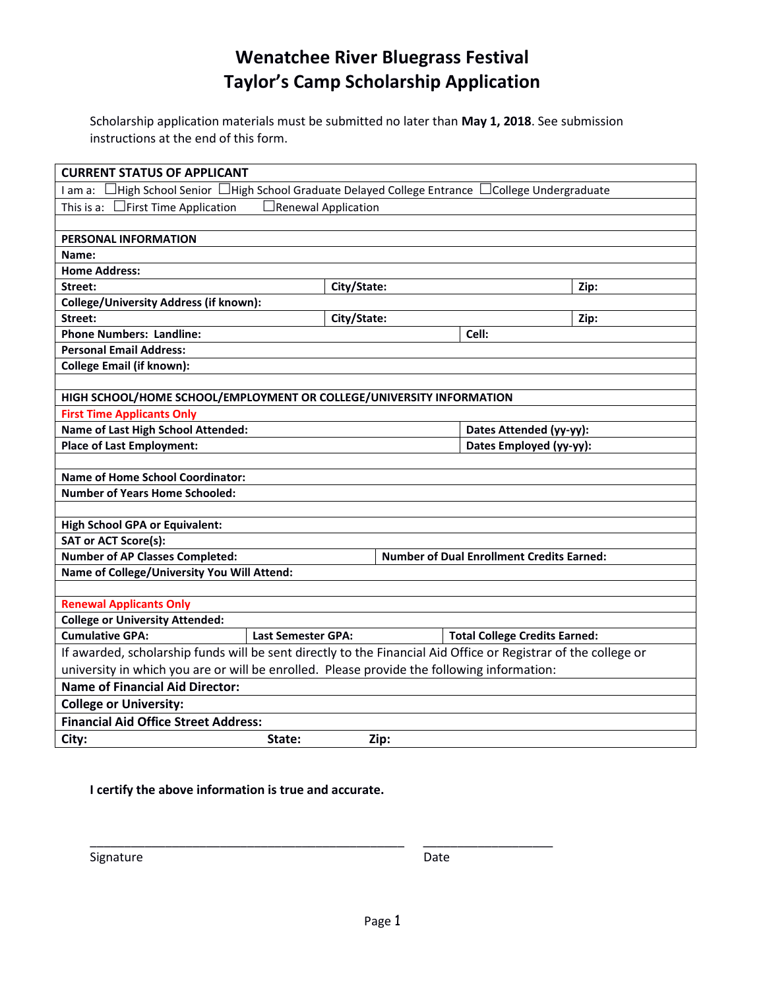## **Wenatchee River Bluegrass Festival Taylor's Camp Scholarship Application**

Scholarship application materials must be submitted no later than **May 1, 2018**. See submission instructions at the end of this form.

| <b>CURRENT STATUS OF APPLICANT</b>                                                                             |                           |             |                                      |                         |  |
|----------------------------------------------------------------------------------------------------------------|---------------------------|-------------|--------------------------------------|-------------------------|--|
| I am a: □High School Senior □High School Graduate Delayed College Entrance □College Undergraduate              |                           |             |                                      |                         |  |
| $\Box$ First Time Application<br>$\Box$ Renewal Application<br>This is a:                                      |                           |             |                                      |                         |  |
|                                                                                                                |                           |             |                                      |                         |  |
| PERSONAL INFORMATION                                                                                           |                           |             |                                      |                         |  |
| Name:                                                                                                          |                           |             |                                      |                         |  |
| <b>Home Address:</b>                                                                                           |                           |             |                                      |                         |  |
| Street:                                                                                                        |                           | City/State: |                                      | Zip:                    |  |
| <b>College/University Address (if known):</b>                                                                  |                           |             |                                      |                         |  |
| Street:                                                                                                        |                           | City/State: |                                      | Zip:                    |  |
| <b>Phone Numbers: Landline:</b>                                                                                |                           |             | Cell:                                |                         |  |
| <b>Personal Email Address:</b>                                                                                 |                           |             |                                      |                         |  |
| <b>College Email (if known):</b>                                                                               |                           |             |                                      |                         |  |
|                                                                                                                |                           |             |                                      |                         |  |
| HIGH SCHOOL/HOME SCHOOL/EMPLOYMENT OR COLLEGE/UNIVERSITY INFORMATION                                           |                           |             |                                      |                         |  |
| <b>First Time Applicants Only</b>                                                                              |                           |             |                                      |                         |  |
| Name of Last High School Attended:                                                                             |                           |             |                                      | Dates Attended (yy-yy): |  |
| <b>Place of Last Employment:</b>                                                                               |                           |             | Dates Employed (yy-yy):              |                         |  |
|                                                                                                                |                           |             |                                      |                         |  |
| <b>Name of Home School Coordinator:</b>                                                                        |                           |             |                                      |                         |  |
| <b>Number of Years Home Schooled:</b>                                                                          |                           |             |                                      |                         |  |
|                                                                                                                |                           |             |                                      |                         |  |
| <b>High School GPA or Equivalent:</b>                                                                          |                           |             |                                      |                         |  |
| <b>SAT or ACT Score(s):</b>                                                                                    |                           |             |                                      |                         |  |
| <b>Number of AP Classes Completed:</b><br><b>Number of Dual Enrollment Credits Earned:</b>                     |                           |             |                                      |                         |  |
| Name of College/University You Will Attend:                                                                    |                           |             |                                      |                         |  |
|                                                                                                                |                           |             |                                      |                         |  |
| <b>Renewal Applicants Only</b>                                                                                 |                           |             |                                      |                         |  |
| <b>College or University Attended:</b>                                                                         |                           |             |                                      |                         |  |
| <b>Cumulative GPA:</b>                                                                                         | <b>Last Semester GPA:</b> |             | <b>Total College Credits Earned:</b> |                         |  |
| If awarded, scholarship funds will be sent directly to the Financial Aid Office or Registrar of the college or |                           |             |                                      |                         |  |
| university in which you are or will be enrolled. Please provide the following information:                     |                           |             |                                      |                         |  |
| <b>Name of Financial Aid Director:</b>                                                                         |                           |             |                                      |                         |  |
| <b>College or University:</b>                                                                                  |                           |             |                                      |                         |  |
| <b>Financial Aid Office Street Address:</b>                                                                    |                           |             |                                      |                         |  |
| City:                                                                                                          | State:                    | Zip:        |                                      |                         |  |

**I certify the above information is true and accurate.**

Signature Date Date

\_\_\_\_\_\_\_\_\_\_\_\_\_\_\_\_\_\_\_\_\_\_\_\_\_\_\_\_\_\_\_\_\_\_\_\_\_\_\_\_\_\_\_\_\_\_ \_\_\_\_\_\_\_\_\_\_\_\_\_\_\_\_\_\_\_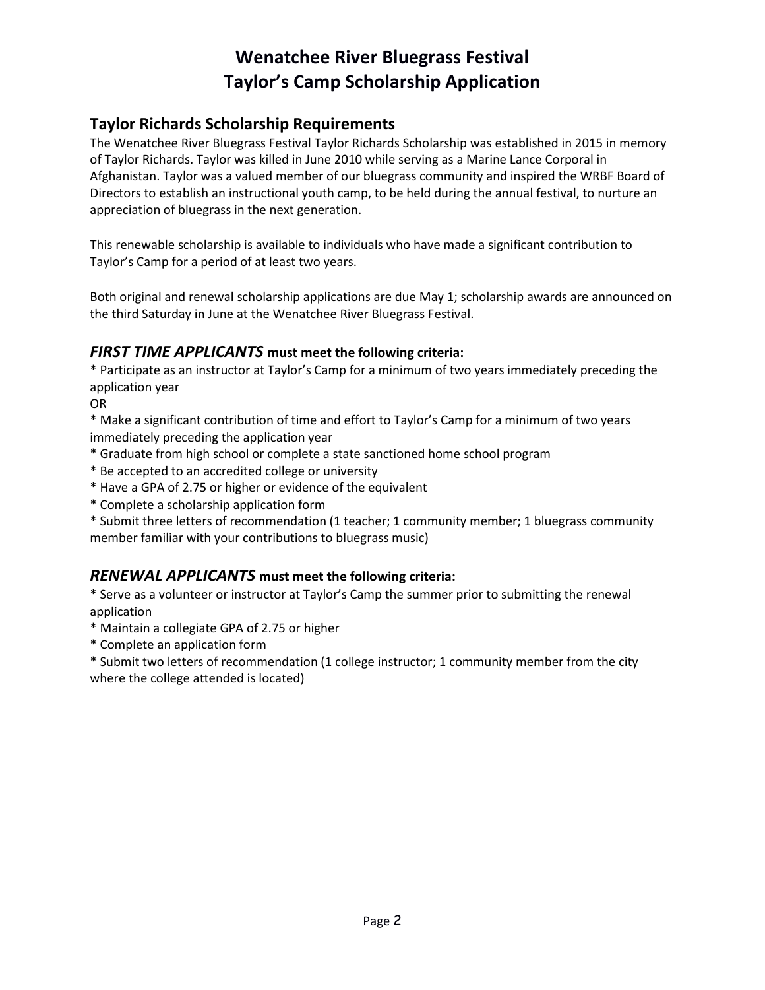# **Wenatchee River Bluegrass Festival Taylor's Camp Scholarship Application**

### **Taylor Richards Scholarship Requirements**

The Wenatchee River Bluegrass Festival Taylor Richards Scholarship was established in 2015 in memory of Taylor Richards. Taylor was killed in June 2010 while serving as a Marine Lance Corporal in Afghanistan. Taylor was a valued member of our bluegrass community and inspired the WRBF Board of Directors to establish an instructional youth camp, to be held during the annual festival, to nurture an appreciation of bluegrass in the next generation.

This renewable scholarship is available to individuals who have made a significant contribution to Taylor's Camp for a period of at least two years.

Both original and renewal scholarship applications are due May 1; scholarship awards are announced on the third Saturday in June at the Wenatchee River Bluegrass Festival.

#### *FIRST TIME APPLICANTS* **must meet the following criteria:**

\* Participate as an instructor at Taylor's Camp for a minimum of two years immediately preceding the application year

OR

\* Make a significant contribution of time and effort to Taylor's Camp for a minimum of two years immediately preceding the application year

- \* Graduate from high school or complete a state sanctioned home school program
- \* Be accepted to an accredited college or university
- \* Have a GPA of 2.75 or higher or evidence of the equivalent
- \* Complete a scholarship application form

\* Submit three letters of recommendation (1 teacher; 1 community member; 1 bluegrass community member familiar with your contributions to bluegrass music)

#### *RENEWAL APPLICANTS* **must meet the following criteria:**

\* Serve as a volunteer or instructor at Taylor's Camp the summer prior to submitting the renewal application

- \* Maintain a collegiate GPA of 2.75 or higher
- \* Complete an application form
- \* Submit two letters of recommendation (1 college instructor; 1 community member from the city where the college attended is located)